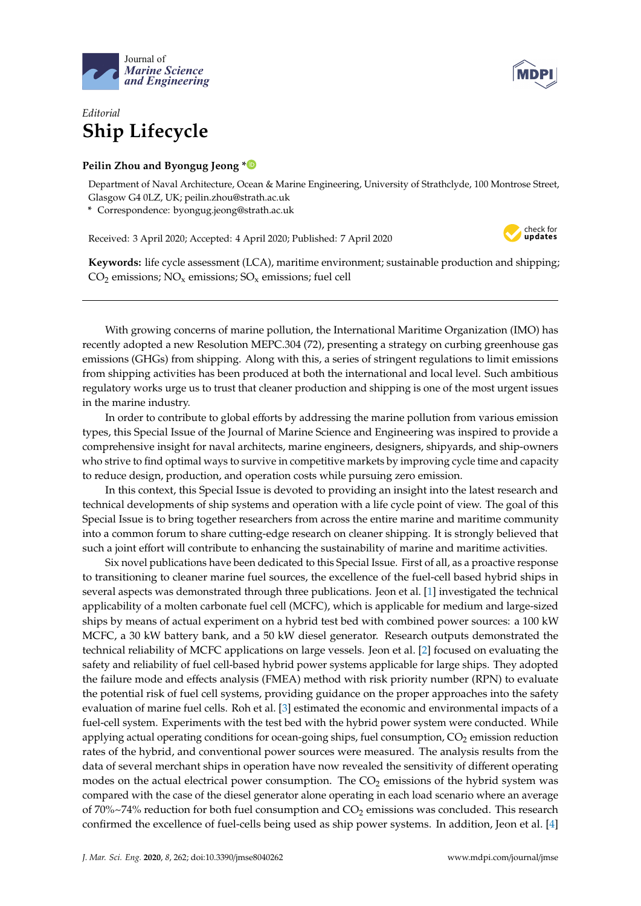



## *Editorial* **Ship Lifecycle**

## **Peilin Zhou and Byongug Jeong [\\*](https://orcid.org/0000-0002-8509-5824)**

Department of Naval Architecture, Ocean & Marine Engineering, University of Strathclyde, 100 Montrose Street, Glasgow G4 0LZ, UK; peilin.zhou@strath.ac.uk

**\*** Correspondence: byongug.jeong@strath.ac.uk

Received: 3 April 2020; Accepted: 4 April 2020; Published: 7 April 2020



**Keywords:** life cycle assessment (LCA), maritime environment; sustainable production and shipping;  $CO<sub>2</sub>$  emissions; NO<sub>x</sub> emissions; SO<sub>x</sub> emissions; fuel cell

With growing concerns of marine pollution, the International Maritime Organization (IMO) has recently adopted a new Resolution MEPC.304 (72), presenting a strategy on curbing greenhouse gas emissions (GHGs) from shipping. Along with this, a series of stringent regulations to limit emissions from shipping activities has been produced at both the international and local level. Such ambitious regulatory works urge us to trust that cleaner production and shipping is one of the most urgent issues in the marine industry.

In order to contribute to global efforts by addressing the marine pollution from various emission types, this Special Issue of the Journal of Marine Science and Engineering was inspired to provide a comprehensive insight for naval architects, marine engineers, designers, shipyards, and ship-owners who strive to find optimal ways to survive in competitive markets by improving cycle time and capacity to reduce design, production, and operation costs while pursuing zero emission.

In this context, this Special Issue is devoted to providing an insight into the latest research and technical developments of ship systems and operation with a life cycle point of view. The goal of this Special Issue is to bring together researchers from across the entire marine and maritime community into a common forum to share cutting-edge research on cleaner shipping. It is strongly believed that such a joint effort will contribute to enhancing the sustainability of marine and maritime activities.

Six novel publications have been dedicated to this Special Issue. First of all, as a proactive response to transitioning to cleaner marine fuel sources, the excellence of the fuel-cell based hybrid ships in several aspects was demonstrated through three publications. Jeon et al. [\[1\]](#page-1-0) investigated the technical applicability of a molten carbonate fuel cell (MCFC), which is applicable for medium and large-sized ships by means of actual experiment on a hybrid test bed with combined power sources: a 100 kW MCFC, a 30 kW battery bank, and a 50 kW diesel generator. Research outputs demonstrated the technical reliability of MCFC applications on large vessels. Jeon et al. [\[2\]](#page-1-1) focused on evaluating the safety and reliability of fuel cell-based hybrid power systems applicable for large ships. They adopted the failure mode and effects analysis (FMEA) method with risk priority number (RPN) to evaluate the potential risk of fuel cell systems, providing guidance on the proper approaches into the safety evaluation of marine fuel cells. Roh et al. [\[3\]](#page-1-2) estimated the economic and environmental impacts of a fuel-cell system. Experiments with the test bed with the hybrid power system were conducted. While applying actual operating conditions for ocean-going ships, fuel consumption,  $CO<sub>2</sub>$  emission reduction rates of the hybrid, and conventional power sources were measured. The analysis results from the data of several merchant ships in operation have now revealed the sensitivity of different operating modes on the actual electrical power consumption. The  $CO<sub>2</sub>$  emissions of the hybrid system was compared with the case of the diesel generator alone operating in each load scenario where an average of  $70\%~74\%$  reduction for both fuel consumption and  $CO<sub>2</sub>$  emissions was concluded. This research confirmed the excellence of fuel-cells being used as ship power systems. In addition, Jeon et al. [\[4\]](#page-1-3)